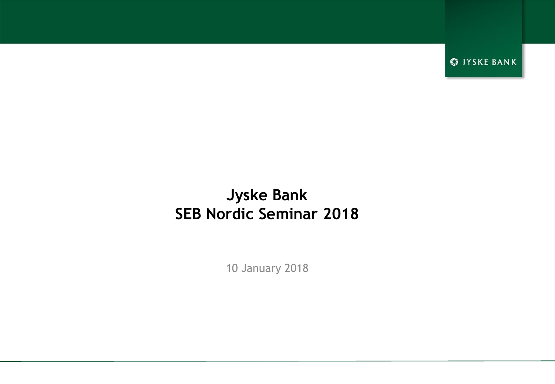**S** JYSKE BANK

## **Jyske Bank SEB Nordic Seminar 2018**

10 January 2018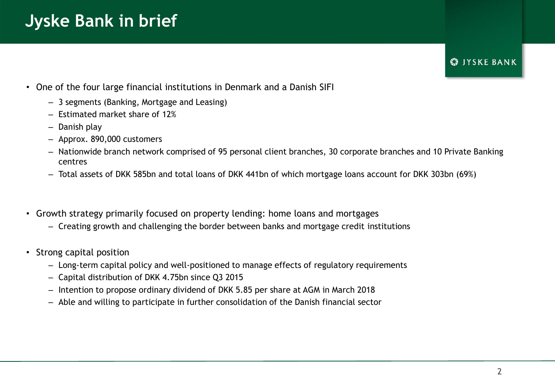# **Jyske Bank in brief**

## **S**IYSKE BANK

- One of the four large financial institutions in Denmark and a Danish SIFI
	- 3 segments (Banking, Mortgage and Leasing)
	- Estimated market share of 12%
	- Danish play
	- Approx. 890,000 customers
	- Nationwide branch network comprised of 95 personal client branches, 30 corporate branches and 10 Private Banking centres
	- Total assets of DKK 585bn and total loans of DKK 441bn of which mortgage loans account for DKK 303bn (69%)
- Growth strategy primarily focused on property lending: home loans and mortgages
	- Creating growth and challenging the border between banks and mortgage credit institutions
- Strong capital position
	- Long-term capital policy and well-positioned to manage effects of regulatory requirements
	- Capital distribution of DKK 4.75bn since Q3 2015
	- Intention to propose ordinary dividend of DKK 5.85 per share at AGM in March 2018
	- Able and willing to participate in further consolidation of the Danish financial sector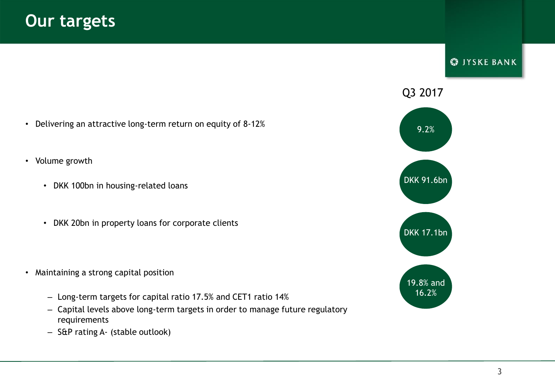- Delivering an attractive long-term return on equity of 8-12%
- Volume growth
	- DKK 100bn in housing-related loans
	- DKK 20bn in property loans for corporate clients

- Maintaining a strong capital position
	- Long-term targets for capital ratio 17.5% and CET1 ratio 14%
	- Capital levels above long-term targets in order to manage future regulatory requirements
	- S&P rating A- (stable outlook)



**S** JYSKE BANK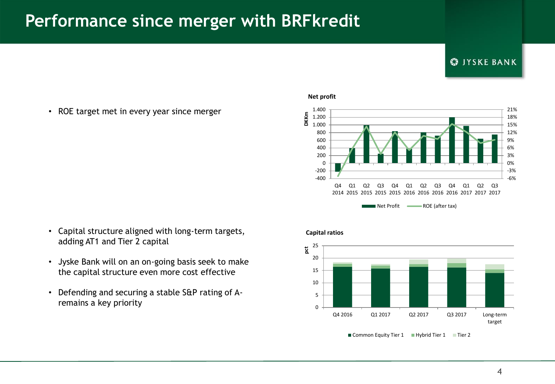## **Performance since merger with BRFkredit**

### **S**IYSKE BANK

• ROE target met in every year since merger

- Capital structure aligned with long-term targets, adding AT1 and Tier 2 capital
- Jyske Bank will on an on-going basis seek to make the capital structure even more cost effective
- Defending and securing a stable S&P rating of Aremains a key priority







■ Common Equity Tier 1 ■ Hybrid Tier 1 ■ Tier 2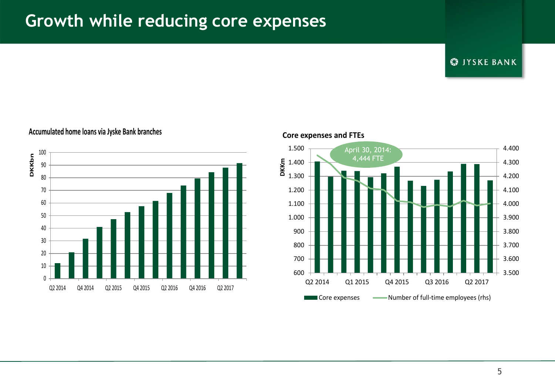## **Growth while reducing core expenses**

**S** JYSKE BANK



### **Accumulated home loans via Jyske Bank branches**



### **Core expenses and FTEs**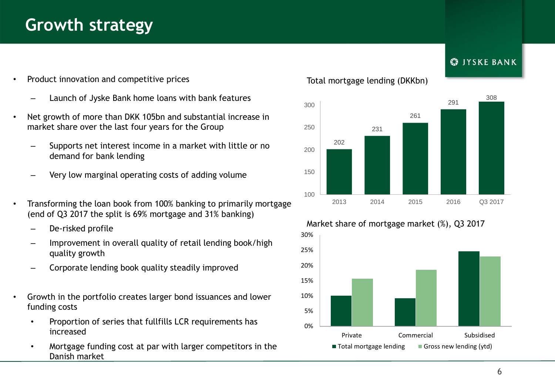## **Growth strategy**

- Product innovation and competitive prices
	- Launch of Jyske Bank home loans with bank features
- Net growth of more than DKK 105bn and substantial increase in market share over the last four years for the Group
	- Supports net interest income in a market with little or no demand for bank lending
	- Very low marginal operating costs of adding volume
- Transforming the loan book from 100% banking to primarily mortgage (end of Q3 2017 the split is 69% mortgage and 31% banking)
	- De-risked profile
	- Improvement in overall quality of retail lending book/high quality growth
	- Corporate lending book quality steadily improved
- Growth in the portfolio creates larger bond issuances and lower funding costs
	- Proportion of series that fullfills LCR requirements has increased
	- Mortgage funding cost at par with larger competitors in the Danish market

### Total mortgage lending (DKKbn)





## **S**IYSKE BANK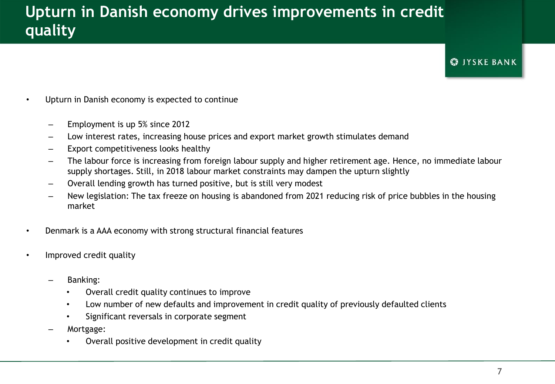## **Upturn in Danish economy drives improvements in credit quality**

### **S**IYSKE BANK

- Upturn in Danish economy is expected to continue
	- Employment is up 5% since 2012
	- Low interest rates, increasing house prices and export market growth stimulates demand
	- Export competitiveness looks healthy
	- The labour force is increasing from foreign labour supply and higher retirement age. Hence, no immediate labour supply shortages. Still, in 2018 labour market constraints may dampen the upturn slightly
	- Overall lending growth has turned positive, but is still very modest
	- New legislation: The tax freeze on housing is abandoned from 2021 reducing risk of price bubbles in the housing market
- Denmark is a AAA economy with strong structural financial features
- Improved credit quality
	- Banking:
		- Overall credit quality continues to improve
		- Low number of new defaults and improvement in credit quality of previously defaulted clients
		- Significant reversals in corporate segment
	- Mortgage:
		- Overall positive development in credit quality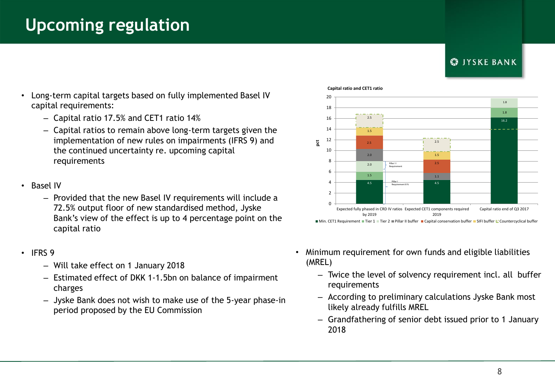## **Upcoming regulation**

## **CO IYSKE BANK**

4.5 Pillar I Prequirement 8 % 4.5 16.2 1.5 1.8 2.0 1.8  $2.0$ 1.1 2.5 2.5 1.5 1.5 2.5 2.5  $\Omega$  $\overline{2}$ 4 6 8 10 12 14 16 18 20 Expected fully phased in CRD IV ratios Expected CET1 components required 2.5<br>
2.0<br>
2.0<br>
2.0<br>
2.0<br>
<sup>Pallar 1.5<br>
2.0<br>
<sup>Pallar 1.1</sup><br>
4.5<br>
<sup>Pallar 1.1</sup><br>
<sup>Pallar</sup> 1.1<br>
<sup>Pallar</sup> 1.1<br>
<sup>Pallar</sup> 1.1<br>
<sup>Pallar</sup> 1.1<br>
<sup>Pallar</sup> 4.5<br>
Pacquirement 8 %<br>
4.5<br>
Pacquirement 8 %<br>
4.5<br>
Dequirement 8 %<br>
4.5<br>
Pacquire</sup> Pillar I I Requirement

by 2019

### **Capital ratio and CET1 ratio**

- Long-term capital targets based on fully implemented Basel IV capital requirements:
	- Capital ratio 17.5% and CET1 ratio 14%
	- Capital ratios to remain above long-term targets given the implementation of new rules on impairments (IFRS 9) and the continued uncertainty re. upcoming capital requirements
- Basel IV
	- Provided that the new Basel IV requirements will include a 72.5% output floor of new standardised method, Jyske Bank's view of the effect is up to 4 percentage point on the capital ratio
- IFRS 9
	- Will take effect on 1 January 2018
	- Estimated effect of DKK 1-1.5bn on balance of impairment charges
	- Jyske Bank does not wish to make use of the 5-year phase-in period proposed by the EU Commission
- Minimum requirement for own funds and eligible liabilities (MREL)
	- Twice the level of solvency requirement incl. all buffer requirements

2019

Min. CET1 Requirement Tier 1 Tier 2 Pillar II buffer Capital conservation buffer SIFI buffer Countercyclical buffer

- According to preliminary calculations Jyske Bank most likely already fulfills MREL
- Grandfathering of senior debt issued prior to 1 January 2018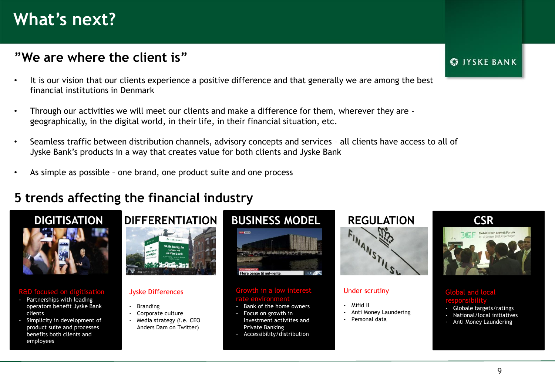## **What's next?**

## **"We are where the client is"**

- It is our vision that our clients experience a positive difference and that generally we are among the best financial institutions in Denmark
- Through our activities we will meet our clients and make a difference for them, wherever they are geographically, in the digital world, in their life, in their financial situation, etc.
- Seamless traffic between distribution channels, advisory concepts and services all clients have access to all of Jyske Bank's products in a way that creates value for both clients and Jyske Bank
- As simple as possible one brand, one product suite and one process

## **5 trends affecting the financial industry**



### R&D focused on digitisa

- Partnerships with leading operators benefit Jyske Bank clients
- Simplicity in development of product suite and processes benefits both clients and employees



### Jyske Differences

- **Branding**
- Corporate culture
- Media strategy (i.e. CEO Anders Dam on Twitter)



## wth in a low interest

- Bank of the home owners
- Focus on growth in Investment activities and Private Banking
- Accessibility/distribution



### Under scrutiny

- Mifid II
- Anti Money Laundering
- Personal data

### **CO IYSKE BANK**

### Global and local responsibility

- Globale targets/ratings
- National/local initiatives
- Anti Money Laundering